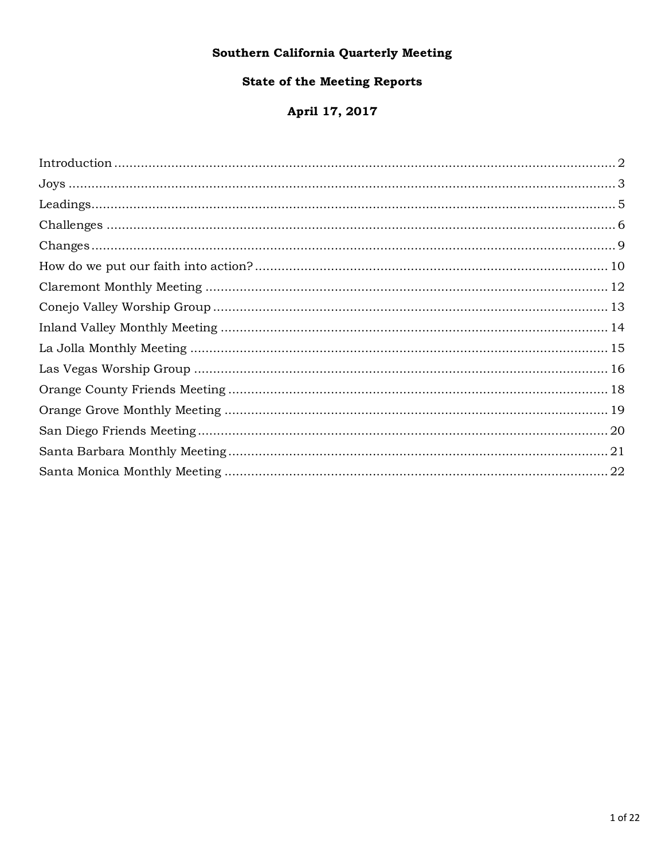# Southern California Quarterly Meeting

# **State of the Meeting Reports**

# April 17, 2017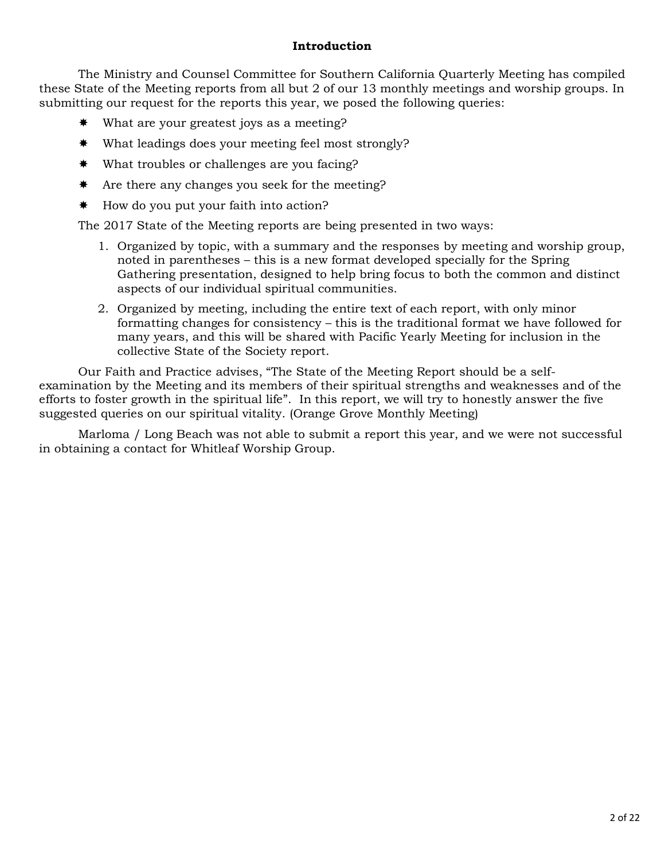#### **Introduction**

<span id="page-1-0"></span>The Ministry and Counsel Committee for Southern California Quarterly Meeting has compiled these State of the Meeting reports from all but 2 of our 13 monthly meetings and worship groups. In submitting our request for the reports this year, we posed the following queries:

- What are your greatest joys as a meeting?
- \* What leadings does your meeting feel most strongly?
- \* What troubles or challenges are you facing?
- \* Are there any changes you seek for the meeting?
- $\text{#}$  How do you put your faith into action?

The 2017 State of the Meeting reports are being presented in two ways:

- 1. Organized by topic, with a summary and the responses by meeting and worship group, noted in parentheses – this is a new format developed specially for the Spring Gathering presentation, designed to help bring focus to both the common and distinct aspects of our individual spiritual communities.
- 2. Organized by meeting, including the entire text of each report, with only minor formatting changes for consistency – this is the traditional format we have followed for many years, and this will be shared with Pacific Yearly Meeting for inclusion in the collective State of the Society report.

Our Faith and Practice advises, "The State of the Meeting Report should be a selfexamination by the Meeting and its members of their spiritual strengths and weaknesses and of the efforts to foster growth in the spiritual life". In this report, we will try to honestly answer the five suggested queries on our spiritual vitality. (Orange Grove Monthly Meeting)

Marloma / Long Beach was not able to submit a report this year, and we were not successful in obtaining a contact for Whitleaf Worship Group.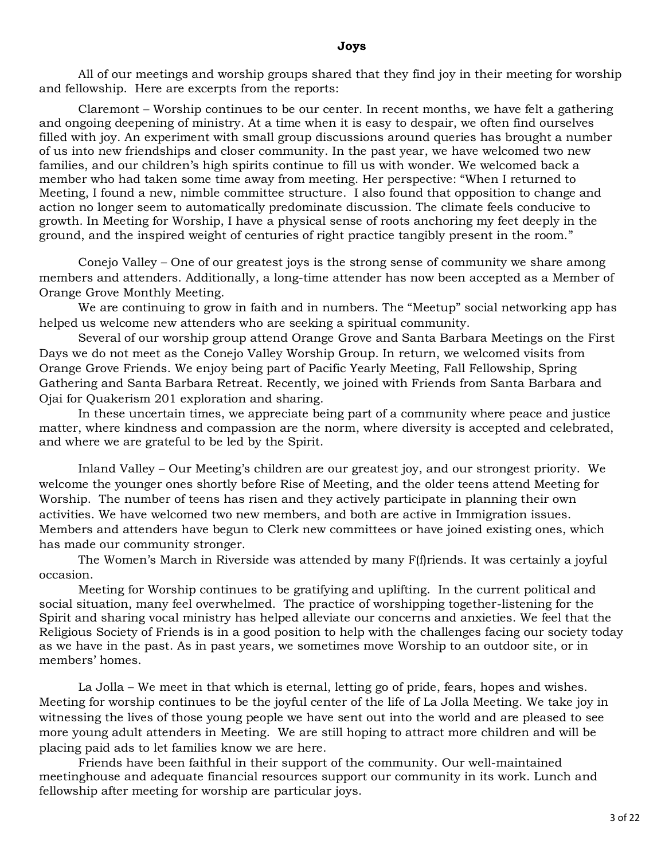<span id="page-2-0"></span>All of our meetings and worship groups shared that they find joy in their meeting for worship and fellowship. Here are excerpts from the reports:

Claremont – Worship continues to be our center. In recent months, we have felt a gathering and ongoing deepening of ministry. At a time when it is easy to despair, we often find ourselves filled with joy. An experiment with small group discussions around queries has brought a number of us into new friendships and closer community. In the past year, we have welcomed two new families, and our children's high spirits continue to fill us with wonder. We welcomed back a member who had taken some time away from meeting. Her perspective: "When I returned to Meeting, I found a new, nimble committee structure. I also found that opposition to change and action no longer seem to automatically predominate discussion. The climate feels conducive to growth. In Meeting for Worship, I have a physical sense of roots anchoring my feet deeply in the ground, and the inspired weight of centuries of right practice tangibly present in the room."

Conejo Valley – One of our greatest joys is the strong sense of community we share among members and attenders. Additionally, a long-time attender has now been accepted as a Member of Orange Grove Monthly Meeting.

We are continuing to grow in faith and in numbers. The "Meetup" social networking app has helped us welcome new attenders who are seeking a spiritual community.

Several of our worship group attend Orange Grove and Santa Barbara Meetings on the First Days we do not meet as the Conejo Valley Worship Group. In return, we welcomed visits from Orange Grove Friends. We enjoy being part of Pacific Yearly Meeting, Fall Fellowship, Spring Gathering and Santa Barbara Retreat. Recently, we joined with Friends from Santa Barbara and Ojai for Quakerism 201 exploration and sharing.

In these uncertain times, we appreciate being part of a community where peace and justice matter, where kindness and compassion are the norm, where diversity is accepted and celebrated, and where we are grateful to be led by the Spirit.

Inland Valley – Our Meeting's children are our greatest joy, and our strongest priority. We welcome the younger ones shortly before Rise of Meeting, and the older teens attend Meeting for Worship. The number of teens has risen and they actively participate in planning their own activities. We have welcomed two new members, and both are active in Immigration issues. Members and attenders have begun to Clerk new committees or have joined existing ones, which has made our community stronger.

The Women's March in Riverside was attended by many F(f)riends. It was certainly a joyful occasion.

Meeting for Worship continues to be gratifying and uplifting. In the current political and social situation, many feel overwhelmed. The practice of worshipping together-listening for the Spirit and sharing vocal ministry has helped alleviate our concerns and anxieties. We feel that the Religious Society of Friends is in a good position to help with the challenges facing our society today as we have in the past. As in past years, we sometimes move Worship to an outdoor site, or in members' homes.

La Jolla – We meet in that which is eternal, letting go of pride, fears, hopes and wishes. Meeting for worship continues to be the joyful center of the life of La Jolla Meeting. We take joy in witnessing the lives of those young people we have sent out into the world and are pleased to see more young adult attenders in Meeting. We are still hoping to attract more children and will be placing paid ads to let families know we are here.

Friends have been faithful in their support of the community. Our well-maintained meetinghouse and adequate financial resources support our community in its work. Lunch and fellowship after meeting for worship are particular joys.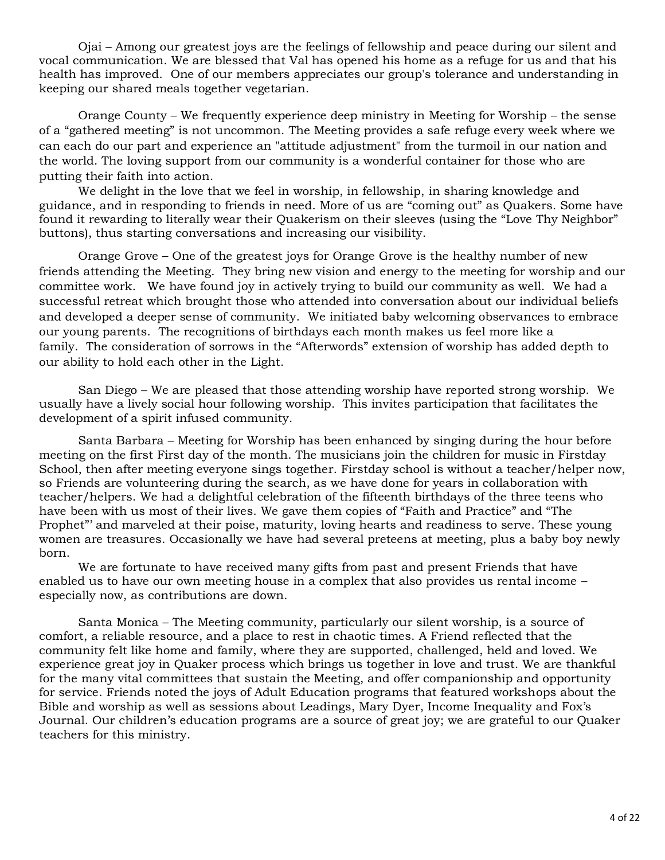Ojai – Among our greatest joys are the feelings of fellowship and peace during our silent and vocal communication. We are blessed that Val has opened his home as a refuge for us and that his health has improved. One of our members appreciates our group's tolerance and understanding in keeping our shared meals together vegetarian.

Orange County – We frequently experience deep ministry in Meeting for Worship – the sense of a "gathered meeting" is not uncommon. The Meeting provides a safe refuge every week where we can each do our part and experience an "attitude adjustment" from the turmoil in our nation and the world. The loving support from our community is a wonderful container for those who are putting their faith into action.

We delight in the love that we feel in worship, in fellowship, in sharing knowledge and guidance, and in responding to friends in need. More of us are "coming out" as Quakers. Some have found it rewarding to literally wear their Quakerism on their sleeves (using the "Love Thy Neighbor" buttons), thus starting conversations and increasing our visibility.

Orange Grove – One of the greatest joys for Orange Grove is the healthy number of new friends attending the Meeting. They bring new vision and energy to the meeting for worship and our committee work. We have found joy in actively trying to build our community as well. We had a successful retreat which brought those who attended into conversation about our individual beliefs and developed a deeper sense of community. We initiated baby welcoming observances to embrace our young parents. The recognitions of birthdays each month makes us feel more like a family. The consideration of sorrows in the "Afterwords" extension of worship has added depth to our ability to hold each other in the Light.

San Diego – We are pleased that those attending worship have reported strong worship. We usually have a lively social hour following worship. This invites participation that facilitates the development of a spirit infused community.

Santa Barbara – Meeting for Worship has been enhanced by singing during the hour before meeting on the first First day of the month. The musicians join the children for music in Firstday School, then after meeting everyone sings together. Firstday school is without a teacher/helper now, so Friends are volunteering during the search, as we have done for years in collaboration with teacher/helpers. We had a delightful celebration of the fifteenth birthdays of the three teens who have been with us most of their lives. We gave them copies of "Faith and Practice" and "The Prophet"' and marveled at their poise, maturity, loving hearts and readiness to serve. These young women are treasures. Occasionally we have had several preteens at meeting, plus a baby boy newly born.

We are fortunate to have received many gifts from past and present Friends that have enabled us to have our own meeting house in a complex that also provides us rental income – especially now, as contributions are down.

Santa Monica – The Meeting community, particularly our silent worship, is a source of comfort, a reliable resource, and a place to rest in chaotic times. A Friend reflected that the community felt like home and family, where they are supported, challenged, held and loved. We experience great joy in Quaker process which brings us together in love and trust. We are thankful for the many vital committees that sustain the Meeting, and offer companionship and opportunity for service. Friends noted the joys of Adult Education programs that featured workshops about the Bible and worship as well as sessions about Leadings, Mary Dyer, Income Inequality and Fox's Journal. Our children's education programs are a source of great joy; we are grateful to our Quaker teachers for this ministry.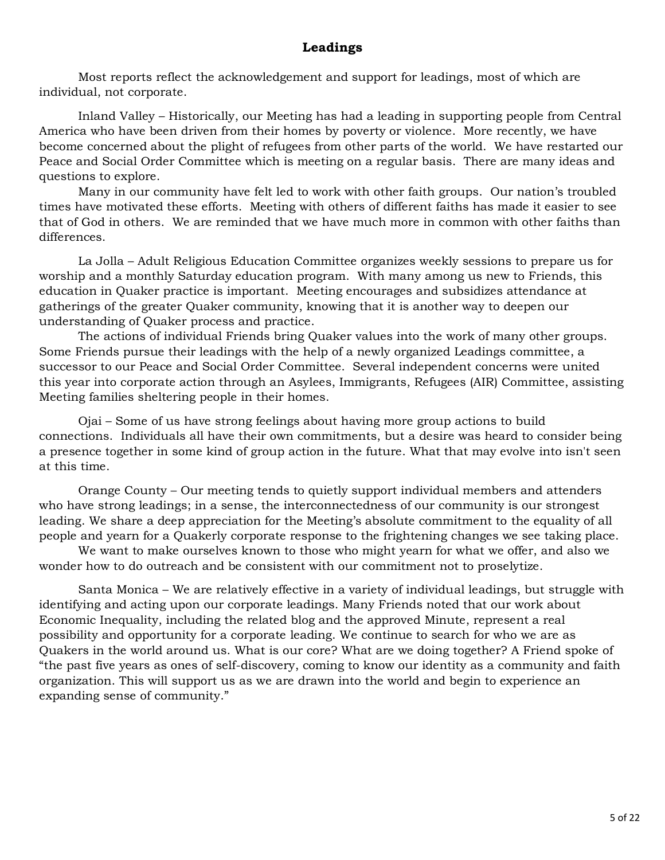## **Leadings**

<span id="page-4-0"></span>Most reports reflect the acknowledgement and support for leadings, most of which are individual, not corporate.

Inland Valley – Historically, our Meeting has had a leading in supporting people from Central America who have been driven from their homes by poverty or violence. More recently, we have become concerned about the plight of refugees from other parts of the world. We have restarted our Peace and Social Order Committee which is meeting on a regular basis. There are many ideas and questions to explore.

Many in our community have felt led to work with other faith groups. Our nation's troubled times have motivated these efforts. Meeting with others of different faiths has made it easier to see that of God in others. We are reminded that we have much more in common with other faiths than differences.

La Jolla – Adult Religious Education Committee organizes weekly sessions to prepare us for worship and a monthly Saturday education program. With many among us new to Friends, this education in Quaker practice is important. Meeting encourages and subsidizes attendance at gatherings of the greater Quaker community, knowing that it is another way to deepen our understanding of Quaker process and practice.

The actions of individual Friends bring Quaker values into the work of many other groups. Some Friends pursue their leadings with the help of a newly organized Leadings committee, a successor to our Peace and Social Order Committee. Several independent concerns were united this year into corporate action through an Asylees, Immigrants, Refugees (AIR) Committee, assisting Meeting families sheltering people in their homes.

Ojai – Some of us have strong feelings about having more group actions to build connections. Individuals all have their own commitments, but a desire was heard to consider being a presence together in some kind of group action in the future. What that may evolve into isn't seen at this time.

Orange County – Our meeting tends to quietly support individual members and attenders who have strong leadings; in a sense, the interconnectedness of our community is our strongest leading. We share a deep appreciation for the Meeting's absolute commitment to the equality of all people and yearn for a Quakerly corporate response to the frightening changes we see taking place.

We want to make ourselves known to those who might yearn for what we offer, and also we wonder how to do outreach and be consistent with our commitment not to proselytize.

Santa Monica – We are relatively effective in a variety of individual leadings, but struggle with identifying and acting upon our corporate leadings. Many Friends noted that our work about Economic Inequality, including the related blog and the approved Minute, represent a real possibility and opportunity for a corporate leading. We continue to search for who we are as Quakers in the world around us. What is our core? What are we doing together? A Friend spoke of "the past five years as ones of self-discovery, coming to know our identity as a community and faith organization. This will support us as we are drawn into the world and begin to experience an expanding sense of community."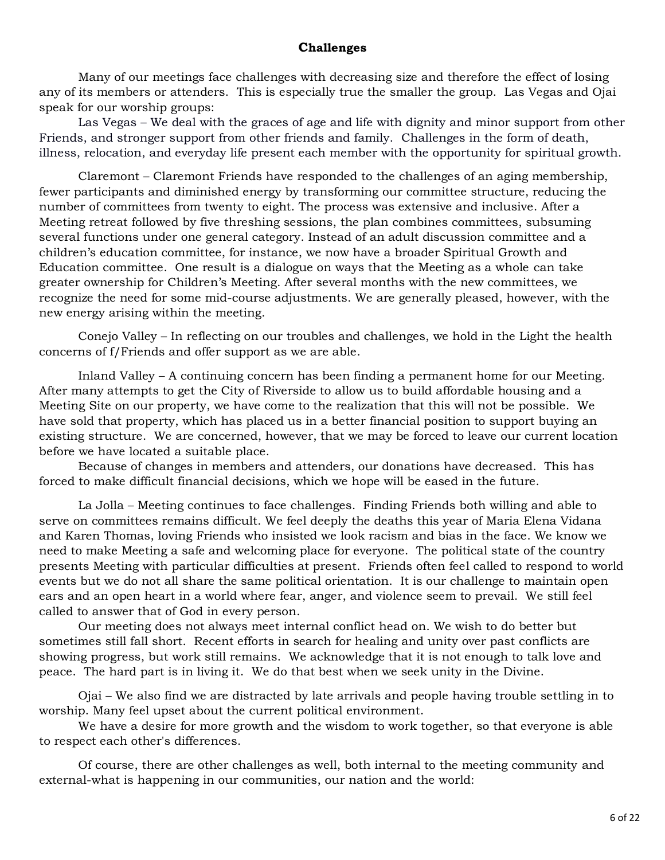### **Challenges**

<span id="page-5-0"></span>Many of our meetings face challenges with decreasing size and therefore the effect of losing any of its members or attenders. This is especially true the smaller the group. Las Vegas and Ojai speak for our worship groups:

Las Vegas – We deal with the graces of age and life with dignity and minor support from other Friends, and stronger support from other friends and family. Challenges in the form of death, illness, relocation, and everyday life present each member with the opportunity for spiritual growth.

Claremont – Claremont Friends have responded to the challenges of an aging membership, fewer participants and diminished energy by transforming our committee structure, reducing the number of committees from twenty to eight. The process was extensive and inclusive. After a Meeting retreat followed by five threshing sessions, the plan combines committees, subsuming several functions under one general category. Instead of an adult discussion committee and a children's education committee, for instance, we now have a broader Spiritual Growth and Education committee. One result is a dialogue on ways that the Meeting as a whole can take greater ownership for Children's Meeting. After several months with the new committees, we recognize the need for some mid-course adjustments. We are generally pleased, however, with the new energy arising within the meeting.

Conejo Valley – In reflecting on our troubles and challenges, we hold in the Light the health concerns of f/Friends and offer support as we are able.

Inland Valley – A continuing concern has been finding a permanent home for our Meeting. After many attempts to get the City of Riverside to allow us to build affordable housing and a Meeting Site on our property, we have come to the realization that this will not be possible. We have sold that property, which has placed us in a better financial position to support buying an existing structure. We are concerned, however, that we may be forced to leave our current location before we have located a suitable place.

Because of changes in members and attenders, our donations have decreased. This has forced to make difficult financial decisions, which we hope will be eased in the future.

La Jolla – Meeting continues to face challenges. Finding Friends both willing and able to serve on committees remains difficult. We feel deeply the deaths this year of Maria Elena Vidana and Karen Thomas, loving Friends who insisted we look racism and bias in the face. We know we need to make Meeting a safe and welcoming place for everyone. The political state of the country presents Meeting with particular difficulties at present. Friends often feel called to respond to world events but we do not all share the same political orientation. It is our challenge to maintain open ears and an open heart in a world where fear, anger, and violence seem to prevail. We still feel called to answer that of God in every person.

Our meeting does not always meet internal conflict head on. We wish to do better but sometimes still fall short. Recent efforts in search for healing and unity over past conflicts are showing progress, but work still remains. We acknowledge that it is not enough to talk love and peace. The hard part is in living it. We do that best when we seek unity in the Divine.

Ojai – We also find we are distracted by late arrivals and people having trouble settling in to worship. Many feel upset about the current political environment.

We have a desire for more growth and the wisdom to work together, so that everyone is able to respect each other's differences.

Of course, there are other challenges as well, both internal to the meeting community and external-what is happening in our communities, our nation and the world: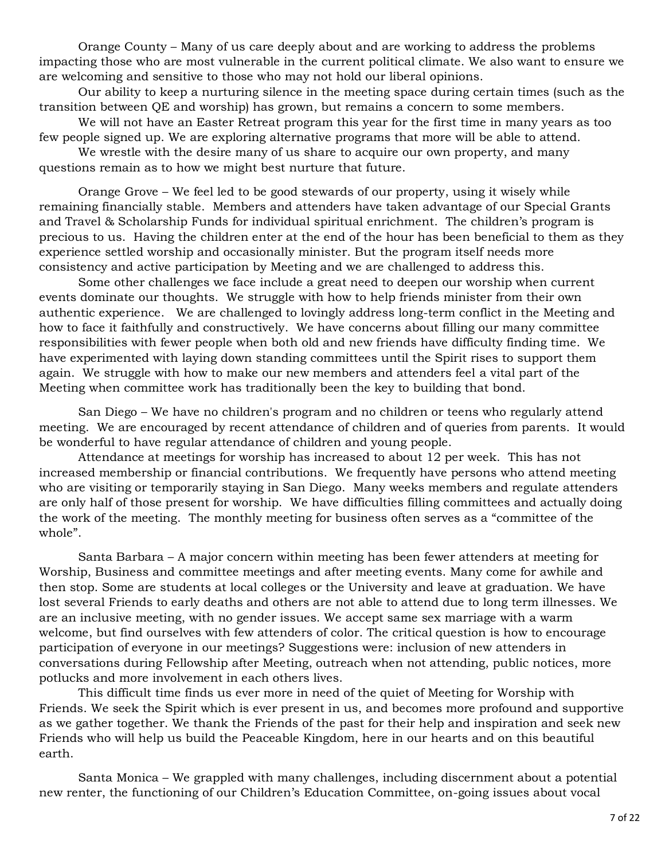Orange County – Many of us care deeply about and are working to address the problems impacting those who are most vulnerable in the current political climate. We also want to ensure we are welcoming and sensitive to those who may not hold our liberal opinions.

Our ability to keep a nurturing silence in the meeting space during certain times (such as the transition between QE and worship) has grown, but remains a concern to some members.

We will not have an Easter Retreat program this year for the first time in many years as too few people signed up. We are exploring alternative programs that more will be able to attend.

We wrestle with the desire many of us share to acquire our own property, and many questions remain as to how we might best nurture that future.

Orange Grove – We feel led to be good stewards of our property, using it wisely while remaining financially stable. Members and attenders have taken advantage of our Special Grants and Travel & Scholarship Funds for individual spiritual enrichment. The children's program is precious to us. Having the children enter at the end of the hour has been beneficial to them as they experience settled worship and occasionally minister. But the program itself needs more consistency and active participation by Meeting and we are challenged to address this.

Some other challenges we face include a great need to deepen our worship when current events dominate our thoughts. We struggle with how to help friends minister from their own authentic experience. We are challenged to lovingly address long-term conflict in the Meeting and how to face it faithfully and constructively. We have concerns about filling our many committee responsibilities with fewer people when both old and new friends have difficulty finding time. We have experimented with laying down standing committees until the Spirit rises to support them again. We struggle with how to make our new members and attenders feel a vital part of the Meeting when committee work has traditionally been the key to building that bond.

San Diego – We have no children's program and no children or teens who regularly attend meeting. We are encouraged by recent attendance of children and of queries from parents. It would be wonderful to have regular attendance of children and young people.

Attendance at meetings for worship has increased to about 12 per week. This has not increased membership or financial contributions. We frequently have persons who attend meeting who are visiting or temporarily staying in San Diego. Many weeks members and regulate attenders are only half of those present for worship. We have difficulties filling committees and actually doing the work of the meeting. The monthly meeting for business often serves as a "committee of the whole".

Santa Barbara – A major concern within meeting has been fewer attenders at meeting for Worship, Business and committee meetings and after meeting events. Many come for awhile and then stop. Some are students at local colleges or the University and leave at graduation. We have lost several Friends to early deaths and others are not able to attend due to long term illnesses. We are an inclusive meeting, with no gender issues. We accept same sex marriage with a warm welcome, but find ourselves with few attenders of color. The critical question is how to encourage participation of everyone in our meetings? Suggestions were: inclusion of new attenders in conversations during Fellowship after Meeting, outreach when not attending, public notices, more potlucks and more involvement in each others lives.

This difficult time finds us ever more in need of the quiet of Meeting for Worship with Friends. We seek the Spirit which is ever present in us, and becomes more profound and supportive as we gather together. We thank the Friends of the past for their help and inspiration and seek new Friends who will help us build the Peaceable Kingdom, here in our hearts and on this beautiful earth.

Santa Monica – We grappled with many challenges, including discernment about a potential new renter, the functioning of our Children's Education Committee, on-going issues about vocal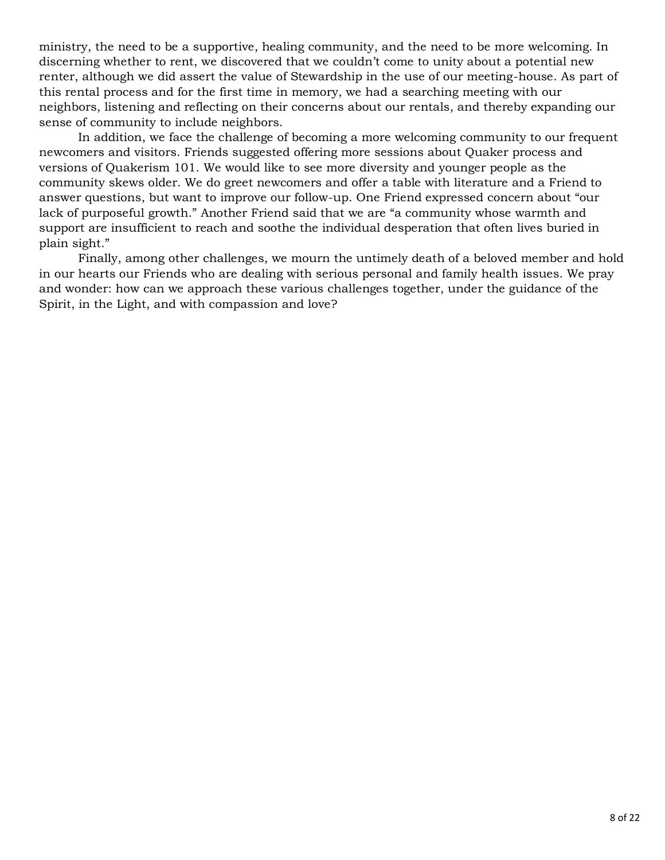ministry, the need to be a supportive, healing community, and the need to be more welcoming. In discerning whether to rent, we discovered that we couldn't come to unity about a potential new renter, although we did assert the value of Stewardship in the use of our meeting-house. As part of this rental process and for the first time in memory, we had a searching meeting with our neighbors, listening and reflecting on their concerns about our rentals, and thereby expanding our sense of community to include neighbors.

In addition, we face the challenge of becoming a more welcoming community to our frequent newcomers and visitors. Friends suggested offering more sessions about Quaker process and versions of Quakerism 101. We would like to see more diversity and younger people as the community skews older. We do greet newcomers and offer a table with literature and a Friend to answer questions, but want to improve our follow-up. One Friend expressed concern about "our lack of purposeful growth." Another Friend said that we are "a community whose warmth and support are insufficient to reach and soothe the individual desperation that often lives buried in plain sight."

Finally, among other challenges, we mourn the untimely death of a beloved member and hold in our hearts our Friends who are dealing with serious personal and family health issues. We pray and wonder: how can we approach these various challenges together, under the guidance of the Spirit, in the Light, and with compassion and love?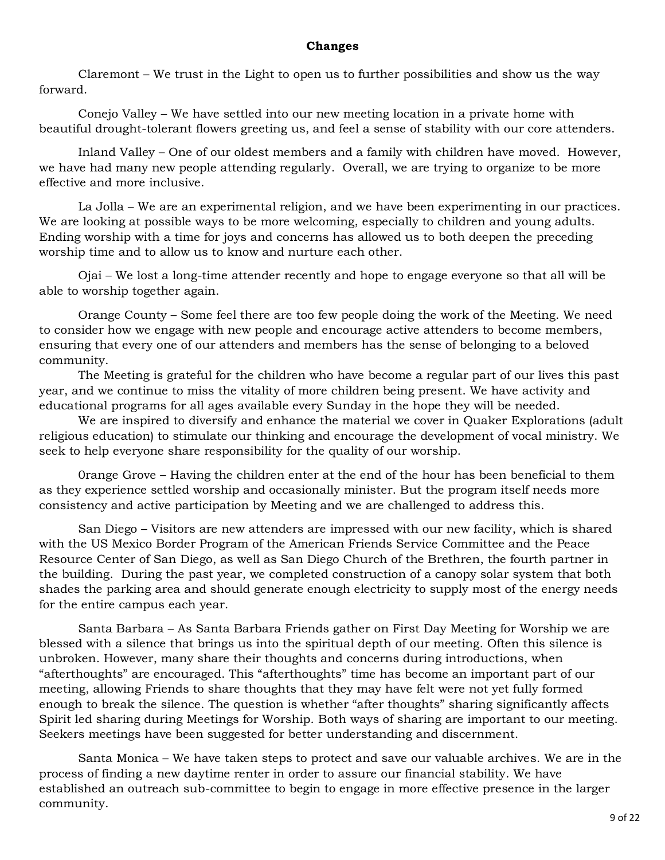#### **Changes**

<span id="page-8-0"></span>Claremont – We trust in the Light to open us to further possibilities and show us the way forward.

Conejo Valley – We have settled into our new meeting location in a private home with beautiful drought-tolerant flowers greeting us, and feel a sense of stability with our core attenders.

Inland Valley – One of our oldest members and a family with children have moved. However, we have had many new people attending regularly. Overall, we are trying to organize to be more effective and more inclusive.

La Jolla – We are an experimental religion, and we have been experimenting in our practices. We are looking at possible ways to be more welcoming, especially to children and young adults. Ending worship with a time for joys and concerns has allowed us to both deepen the preceding worship time and to allow us to know and nurture each other.

Ojai – We lost a long-time attender recently and hope to engage everyone so that all will be able to worship together again.

Orange County – Some feel there are too few people doing the work of the Meeting. We need to consider how we engage with new people and encourage active attenders to become members, ensuring that every one of our attenders and members has the sense of belonging to a beloved community.

The Meeting is grateful for the children who have become a regular part of our lives this past year, and we continue to miss the vitality of more children being present. We have activity and educational programs for all ages available every Sunday in the hope they will be needed.

We are inspired to diversify and enhance the material we cover in Quaker Explorations (adult religious education) to stimulate our thinking and encourage the development of vocal ministry. We seek to help everyone share responsibility for the quality of our worship.

0range Grove – Having the children enter at the end of the hour has been beneficial to them as they experience settled worship and occasionally minister. But the program itself needs more consistency and active participation by Meeting and we are challenged to address this.

San Diego – Visitors are new attenders are impressed with our new facility, which is shared with the US Mexico Border Program of the American Friends Service Committee and the Peace Resource Center of San Diego, as well as San Diego Church of the Brethren, the fourth partner in the building. During the past year, we completed construction of a canopy solar system that both shades the parking area and should generate enough electricity to supply most of the energy needs for the entire campus each year.

Santa Barbara – As Santa Barbara Friends gather on First Day Meeting for Worship we are blessed with a silence that brings us into the spiritual depth of our meeting. Often this silence is unbroken. However, many share their thoughts and concerns during introductions, when "afterthoughts" are encouraged. This "afterthoughts" time has become an important part of our meeting, allowing Friends to share thoughts that they may have felt were not yet fully formed enough to break the silence. The question is whether "after thoughts" sharing significantly affects Spirit led sharing during Meetings for Worship. Both ways of sharing are important to our meeting. Seekers meetings have been suggested for better understanding and discernment.

Santa Monica – We have taken steps to protect and save our valuable archives. We are in the process of finding a new daytime renter in order to assure our financial stability. We have established an outreach sub-committee to begin to engage in more effective presence in the larger community.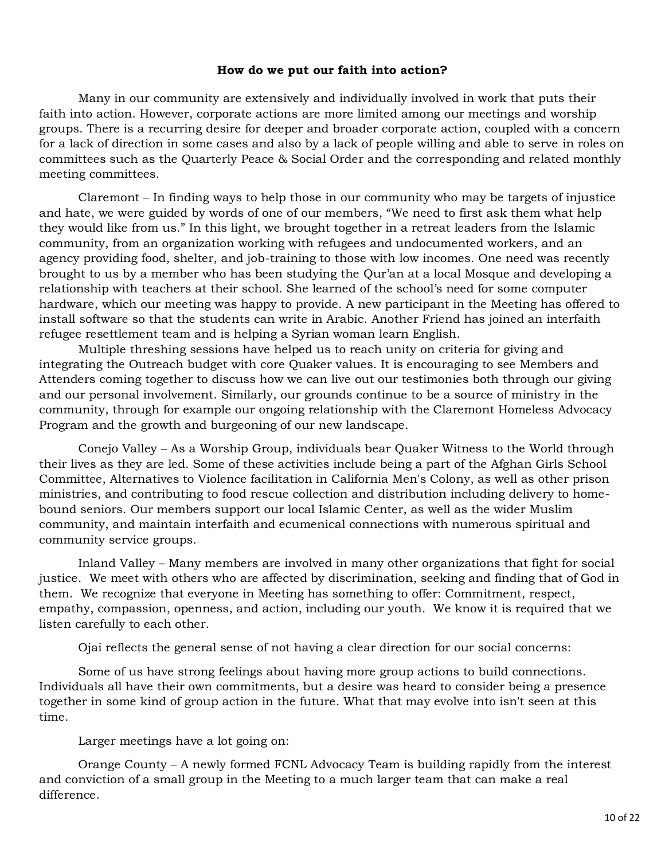#### **How do we put our faith into action?**

<span id="page-9-0"></span>Many in our community are extensively and individually involved in work that puts their faith into action. However, corporate actions are more limited among our meetings and worship groups. There is a recurring desire for deeper and broader corporate action, coupled with a concern for a lack of direction in some cases and also by a lack of people willing and able to serve in roles on committees such as the Quarterly Peace & Social Order and the corresponding and related monthly meeting committees.

Claremont – In finding ways to help those in our community who may be targets of injustice and hate, we were guided by words of one of our members, "We need to first ask them what help they would like from us." In this light, we brought together in a retreat leaders from the Islamic community, from an organization working with refugees and undocumented workers, and an agency providing food, shelter, and job-training to those with low incomes. One need was recently brought to us by a member who has been studying the Qur'an at a local Mosque and developing a relationship with teachers at their school. She learned of the school's need for some computer hardware, which our meeting was happy to provide. A new participant in the Meeting has offered to install software so that the students can write in Arabic. Another Friend has joined an interfaith refugee resettlement team and is helping a Syrian woman learn English.

Multiple threshing sessions have helped us to reach unity on criteria for giving and integrating the Outreach budget with core Quaker values. It is encouraging to see Members and Attenders coming together to discuss how we can live out our testimonies both through our giving and our personal involvement. Similarly, our grounds continue to be a source of ministry in the community, through for example our ongoing relationship with the Claremont Homeless Advocacy Program and the growth and burgeoning of our new landscape.

Conejo Valley – As a Worship Group, individuals bear Quaker Witness to the World through their lives as they are led. Some of these activities include being a part of the Afghan Girls School Committee, Alternatives to Violence facilitation in California Men's Colony, as well as other prison ministries, and contributing to food rescue collection and distribution including delivery to homebound seniors. Our members support our local Islamic Center, as well as the wider Muslim community, and maintain interfaith and ecumenical connections with numerous spiritual and community service groups.

Inland Valley – Many members are involved in many other organizations that fight for social justice. We meet with others who are affected by discrimination, seeking and finding that of God in them. We recognize that everyone in Meeting has something to offer: Commitment, respect, empathy, compassion, openness, and action, including our youth. We know it is required that we listen carefully to each other.

Ojai reflects the general sense of not having a clear direction for our social concerns:

Some of us have strong feelings about having more group actions to build connections. Individuals all have their own commitments, but a desire was heard to consider being a presence together in some kind of group action in the future. What that may evolve into isn't seen at this time.

Larger meetings have a lot going on:

Orange County – A newly formed FCNL Advocacy Team is building rapidly from the interest and conviction of a small group in the Meeting to a much larger team that can make a real difference.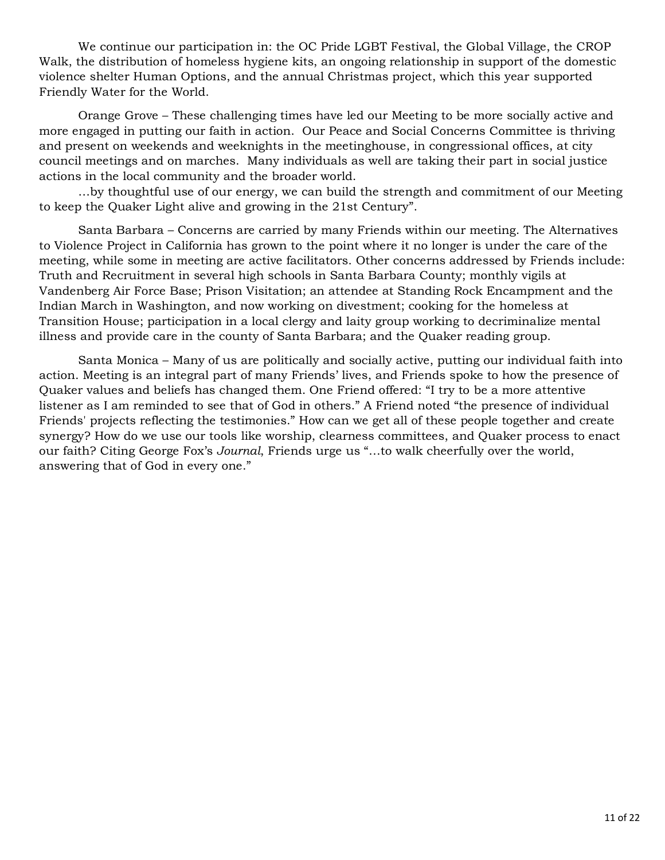We continue our participation in: the OC Pride LGBT Festival, the Global Village, the CROP Walk, the distribution of homeless hygiene kits, an ongoing relationship in support of the domestic violence shelter Human Options, and the annual Christmas project, which this year supported Friendly Water for the World.

Orange Grove – These challenging times have led our Meeting to be more socially active and more engaged in putting our faith in action. Our Peace and Social Concerns Committee is thriving and present on weekends and weeknights in the meetinghouse, in congressional offices, at city council meetings and on marches. Many individuals as well are taking their part in social justice actions in the local community and the broader world.

…by thoughtful use of our energy, we can build the strength and commitment of our Meeting to keep the Quaker Light alive and growing in the 21st Century".

Santa Barbara – Concerns are carried by many Friends within our meeting. The Alternatives to Violence Project in California has grown to the point where it no longer is under the care of the meeting, while some in meeting are active facilitators. Other concerns addressed by Friends include: Truth and Recruitment in several high schools in Santa Barbara County; monthly vigils at Vandenberg Air Force Base; Prison Visitation; an attendee at Standing Rock Encampment and the Indian March in Washington, and now working on divestment; cooking for the homeless at Transition House; participation in a local clergy and laity group working to decriminalize mental illness and provide care in the county of Santa Barbara; and the Quaker reading group.

Santa Monica – Many of us are politically and socially active, putting our individual faith into action. Meeting is an integral part of many Friends' lives, and Friends spoke to how the presence of Quaker values and beliefs has changed them. One Friend offered: "I try to be a more attentive listener as I am reminded to see that of God in others." A Friend noted "the presence of individual Friends' projects reflecting the testimonies." How can we get all of these people together and create synergy? How do we use our tools like worship, clearness committees, and Quaker process to enact our faith? Citing George Fox's *Journal*, Friends urge us "…to walk cheerfully over the world, answering that of God in every one."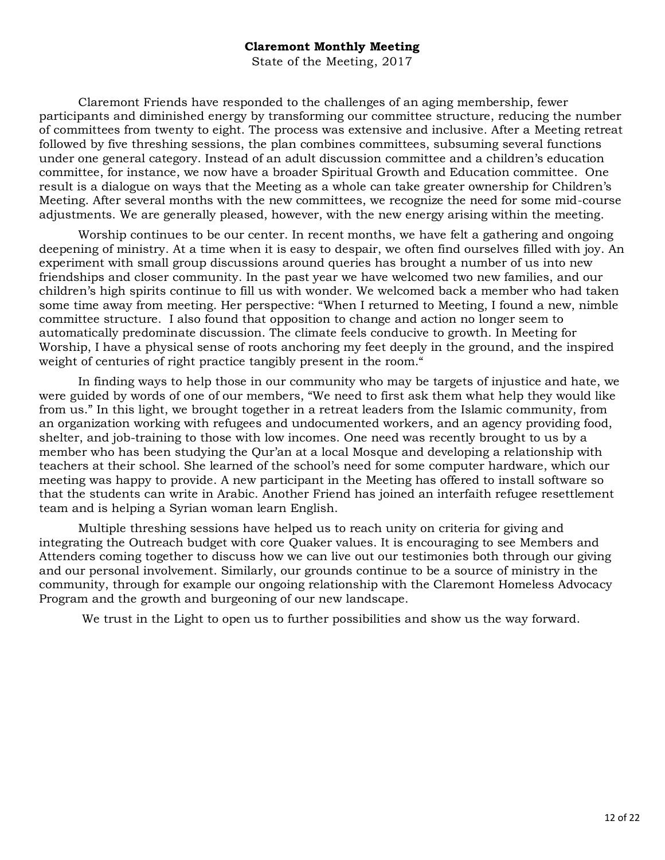### **Claremont Monthly Meeting**

State of the Meeting, 2017

<span id="page-11-0"></span>Claremont Friends have responded to the challenges of an aging membership, fewer participants and diminished energy by transforming our committee structure, reducing the number of committees from twenty to eight. The process was extensive and inclusive. After a Meeting retreat followed by five threshing sessions, the plan combines committees, subsuming several functions under one general category. Instead of an adult discussion committee and a children's education committee, for instance, we now have a broader Spiritual Growth and Education committee. One result is a dialogue on ways that the Meeting as a whole can take greater ownership for Children's Meeting. After several months with the new committees, we recognize the need for some mid-course adjustments. We are generally pleased, however, with the new energy arising within the meeting.

Worship continues to be our center. In recent months, we have felt a gathering and ongoing deepening of ministry. At a time when it is easy to despair, we often find ourselves filled with joy. An experiment with small group discussions around queries has brought a number of us into new friendships and closer community. In the past year we have welcomed two new families, and our children's high spirits continue to fill us with wonder. We welcomed back a member who had taken some time away from meeting. Her perspective: "When I returned to Meeting, I found a new, nimble committee structure. I also found that opposition to change and action no longer seem to automatically predominate discussion. The climate feels conducive to growth. In Meeting for Worship, I have a physical sense of roots anchoring my feet deeply in the ground, and the inspired weight of centuries of right practice tangibly present in the room."

In finding ways to help those in our community who may be targets of injustice and hate, we were guided by words of one of our members, "We need to first ask them what help they would like from us." In this light, we brought together in a retreat leaders from the Islamic community, from an organization working with refugees and undocumented workers, and an agency providing food, shelter, and job-training to those with low incomes. One need was recently brought to us by a member who has been studying the Qur'an at a local Mosque and developing a relationship with teachers at their school. She learned of the school's need for some computer hardware, which our meeting was happy to provide. A new participant in the Meeting has offered to install software so that the students can write in Arabic. Another Friend has joined an interfaith refugee resettlement team and is helping a Syrian woman learn English.

Multiple threshing sessions have helped us to reach unity on criteria for giving and integrating the Outreach budget with core Quaker values. It is encouraging to see Members and Attenders coming together to discuss how we can live out our testimonies both through our giving and our personal involvement. Similarly, our grounds continue to be a source of ministry in the community, through for example our ongoing relationship with the Claremont Homeless Advocacy Program and the growth and burgeoning of our new landscape.

We trust in the Light to open us to further possibilities and show us the way forward.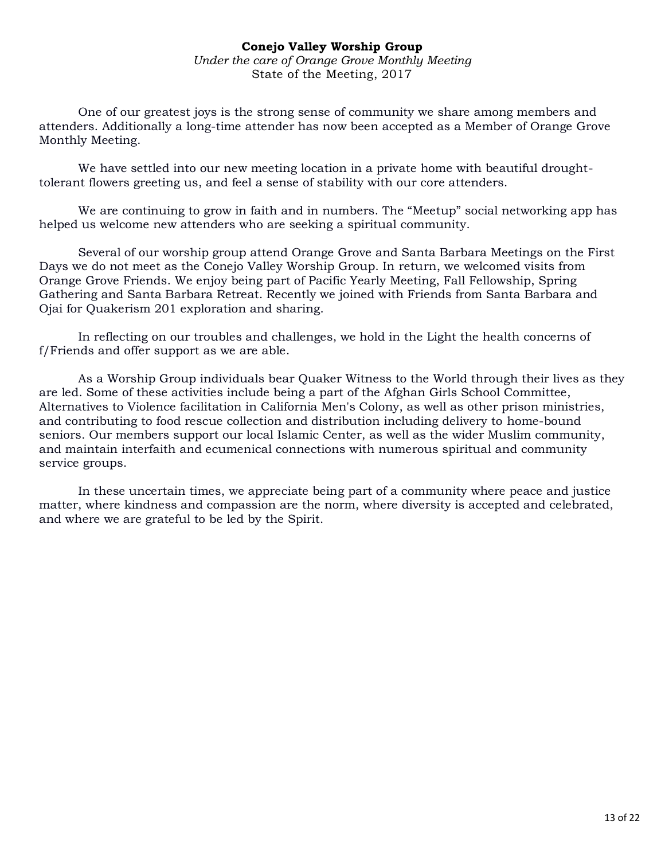## **Conejo Valley Worship Group**

*Under the care of Orange Grove Monthly Meeting* State of the Meeting, 2017

<span id="page-12-0"></span>One of our greatest joys is the strong sense of community we share among members and attenders. Additionally a long-time attender has now been accepted as a Member of Orange Grove Monthly Meeting.

We have settled into our new meeting location in a private home with beautiful droughttolerant flowers greeting us, and feel a sense of stability with our core attenders.

We are continuing to grow in faith and in numbers. The "Meetup" social networking app has helped us welcome new attenders who are seeking a spiritual community.

Several of our worship group attend Orange Grove and Santa Barbara Meetings on the First Days we do not meet as the Conejo Valley Worship Group. In return, we welcomed visits from Orange Grove Friends. We enjoy being part of Pacific Yearly Meeting, Fall Fellowship, Spring Gathering and Santa Barbara Retreat. Recently we joined with Friends from Santa Barbara and Ojai for Quakerism 201 exploration and sharing.

In reflecting on our troubles and challenges, we hold in the Light the health concerns of f/Friends and offer support as we are able.

As a Worship Group individuals bear Quaker Witness to the World through their lives as they are led. Some of these activities include being a part of the Afghan Girls School Committee, Alternatives to Violence facilitation in California Men's Colony, as well as other prison ministries, and contributing to food rescue collection and distribution including delivery to home-bound seniors. Our members support our local Islamic Center, as well as the wider Muslim community, and maintain interfaith and ecumenical connections with numerous spiritual and community service groups.

In these uncertain times, we appreciate being part of a community where peace and justice matter, where kindness and compassion are the norm, where diversity is accepted and celebrated, and where we are grateful to be led by the Spirit.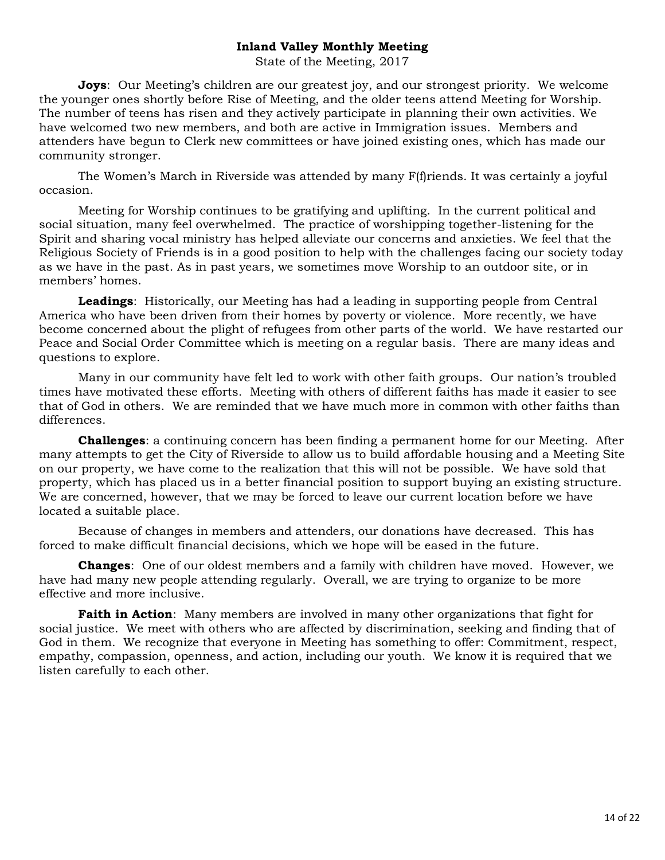#### **Inland Valley Monthly Meeting**

State of the Meeting, 2017

<span id="page-13-0"></span>**Joys:** Our Meeting's children are our greatest joy, and our strongest priority. We welcome the younger ones shortly before Rise of Meeting, and the older teens attend Meeting for Worship. The number of teens has risen and they actively participate in planning their own activities. We have welcomed two new members, and both are active in Immigration issues. Members and attenders have begun to Clerk new committees or have joined existing ones, which has made our community stronger.

The Women's March in Riverside was attended by many F(f)riends. It was certainly a joyful occasion.

Meeting for Worship continues to be gratifying and uplifting. In the current political and social situation, many feel overwhelmed. The practice of worshipping together-listening for the Spirit and sharing vocal ministry has helped alleviate our concerns and anxieties. We feel that the Religious Society of Friends is in a good position to help with the challenges facing our society today as we have in the past. As in past years, we sometimes move Worship to an outdoor site, or in members' homes.

**Leadings**: Historically, our Meeting has had a leading in supporting people from Central America who have been driven from their homes by poverty or violence. More recently, we have become concerned about the plight of refugees from other parts of the world. We have restarted our Peace and Social Order Committee which is meeting on a regular basis. There are many ideas and questions to explore.

Many in our community have felt led to work with other faith groups. Our nation's troubled times have motivated these efforts. Meeting with others of different faiths has made it easier to see that of God in others. We are reminded that we have much more in common with other faiths than differences.

**Challenges**: a continuing concern has been finding a permanent home for our Meeting. After many attempts to get the City of Riverside to allow us to build affordable housing and a Meeting Site on our property, we have come to the realization that this will not be possible. We have sold that property, which has placed us in a better financial position to support buying an existing structure. We are concerned, however, that we may be forced to leave our current location before we have located a suitable place.

Because of changes in members and attenders, our donations have decreased. This has forced to make difficult financial decisions, which we hope will be eased in the future.

**Changes**: One of our oldest members and a family with children have moved. However, we have had many new people attending regularly. Overall, we are trying to organize to be more effective and more inclusive.

**Faith in Action**: Many members are involved in many other organizations that fight for social justice. We meet with others who are affected by discrimination, seeking and finding that of God in them. We recognize that everyone in Meeting has something to offer: Commitment, respect, empathy, compassion, openness, and action, including our youth. We know it is required that we listen carefully to each other.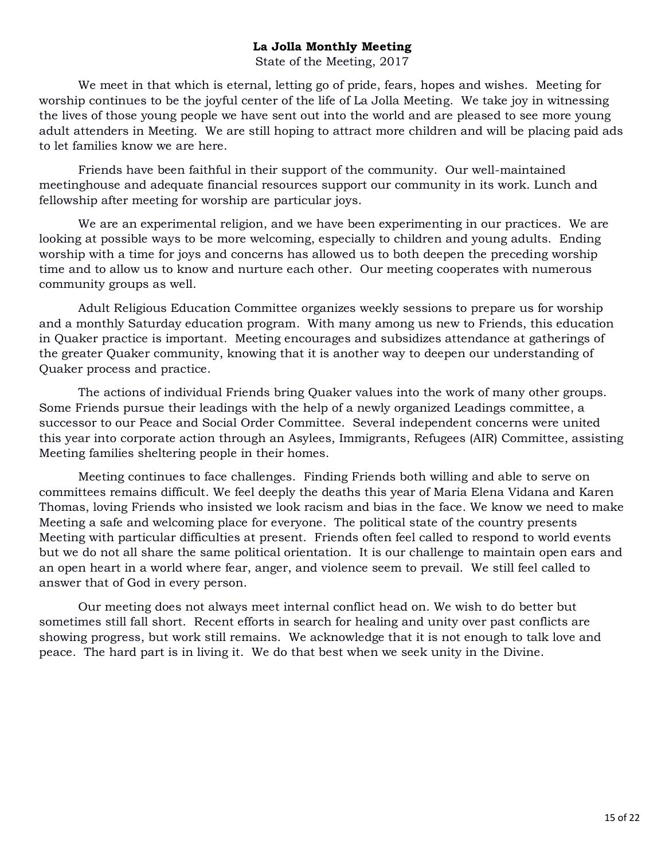## **La Jolla Monthly Meeting**

State of the Meeting, 2017

<span id="page-14-0"></span>We meet in that which is eternal, letting go of pride, fears, hopes and wishes. Meeting for worship continues to be the joyful center of the life of La Jolla Meeting. We take joy in witnessing the lives of those young people we have sent out into the world and are pleased to see more young adult attenders in Meeting. We are still hoping to attract more children and will be placing paid ads to let families know we are here.

Friends have been faithful in their support of the community. Our well-maintained meetinghouse and adequate financial resources support our community in its work. Lunch and fellowship after meeting for worship are particular joys.

We are an experimental religion, and we have been experimenting in our practices. We are looking at possible ways to be more welcoming, especially to children and young adults. Ending worship with a time for joys and concerns has allowed us to both deepen the preceding worship time and to allow us to know and nurture each other. Our meeting cooperates with numerous community groups as well.

Adult Religious Education Committee organizes weekly sessions to prepare us for worship and a monthly Saturday education program. With many among us new to Friends, this education in Quaker practice is important. Meeting encourages and subsidizes attendance at gatherings of the greater Quaker community, knowing that it is another way to deepen our understanding of Quaker process and practice.

The actions of individual Friends bring Quaker values into the work of many other groups. Some Friends pursue their leadings with the help of a newly organized Leadings committee, a successor to our Peace and Social Order Committee. Several independent concerns were united this year into corporate action through an Asylees, Immigrants, Refugees (AIR) Committee, assisting Meeting families sheltering people in their homes.

Meeting continues to face challenges. Finding Friends both willing and able to serve on committees remains difficult. We feel deeply the deaths this year of Maria Elena Vidana and Karen Thomas, loving Friends who insisted we look racism and bias in the face. We know we need to make Meeting a safe and welcoming place for everyone. The political state of the country presents Meeting with particular difficulties at present. Friends often feel called to respond to world events but we do not all share the same political orientation. It is our challenge to maintain open ears and an open heart in a world where fear, anger, and violence seem to prevail. We still feel called to answer that of God in every person.

Our meeting does not always meet internal conflict head on. We wish to do better but sometimes still fall short. Recent efforts in search for healing and unity over past conflicts are showing progress, but work still remains. We acknowledge that it is not enough to talk love and peace. The hard part is in living it. We do that best when we seek unity in the Divine.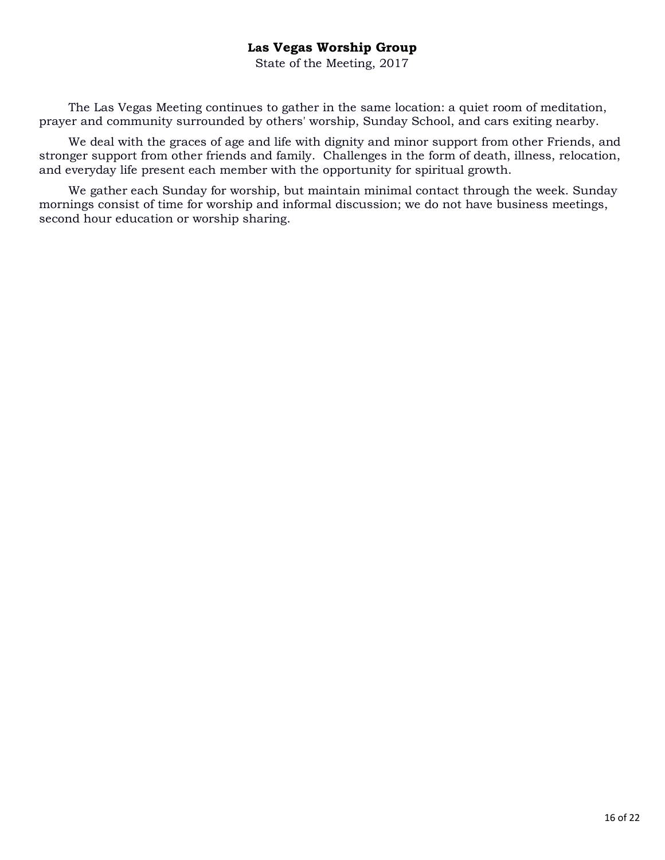## **Las Vegas Worship Group**

State of the Meeting, 2017

<span id="page-15-0"></span>The Las Vegas Meeting continues to gather in the same location: a quiet room of meditation, prayer and community surrounded by others' worship, Sunday School, and cars exiting nearby.

We deal with the graces of age and life with dignity and minor support from other Friends, and stronger support from other friends and family. Challenges in the form of death, illness, relocation, and everyday life present each member with the opportunity for spiritual growth.

We gather each Sunday for worship, but maintain minimal contact through the week. Sunday mornings consist of time for worship and informal discussion; we do not have business meetings, second hour education or worship sharing.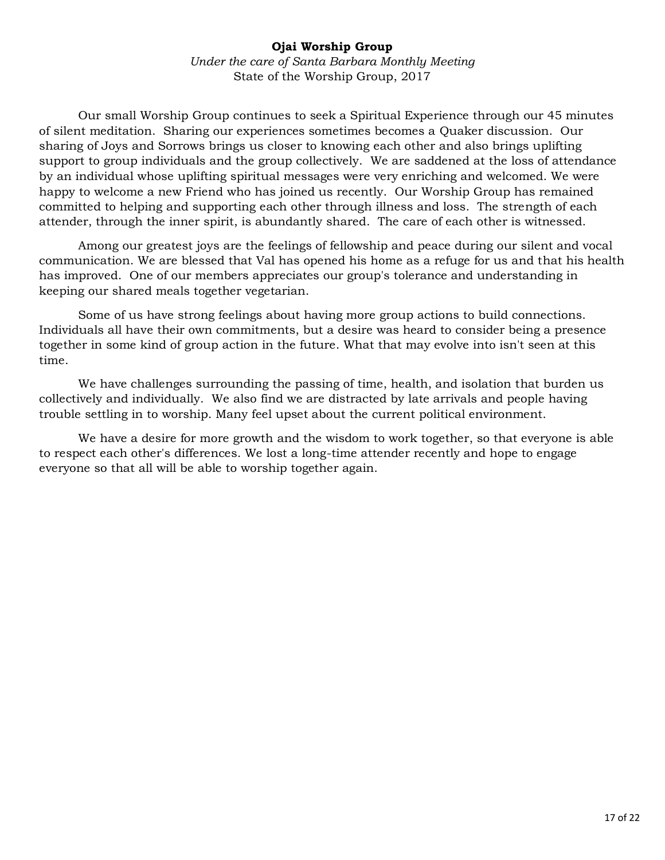## **Ojai Worship Group**

*Under the care of Santa Barbara Monthly Meeting* State of the Worship Group, 2017

Our small Worship Group continues to seek a Spiritual Experience through our 45 minutes of silent meditation. Sharing our experiences sometimes becomes a Quaker discussion. Our sharing of Joys and Sorrows brings us closer to knowing each other and also brings uplifting support to group individuals and the group collectively. We are saddened at the loss of attendance by an individual whose uplifting spiritual messages were very enriching and welcomed. We were happy to welcome a new Friend who has joined us recently. Our Worship Group has remained committed to helping and supporting each other through illness and loss. The strength of each attender, through the inner spirit, is abundantly shared. The care of each other is witnessed.

Among our greatest joys are the feelings of fellowship and peace during our silent and vocal communication. We are blessed that Val has opened his home as a refuge for us and that his health has improved. One of our members appreciates our group's tolerance and understanding in keeping our shared meals together vegetarian.

Some of us have strong feelings about having more group actions to build connections. Individuals all have their own commitments, but a desire was heard to consider being a presence together in some kind of group action in the future. What that may evolve into isn't seen at this time.

We have challenges surrounding the passing of time, health, and isolation that burden us collectively and individually. We also find we are distracted by late arrivals and people having trouble settling in to worship. Many feel upset about the current political environment.

We have a desire for more growth and the wisdom to work together, so that everyone is able to respect each other's differences. We lost a long-time attender recently and hope to engage everyone so that all will be able to worship together again.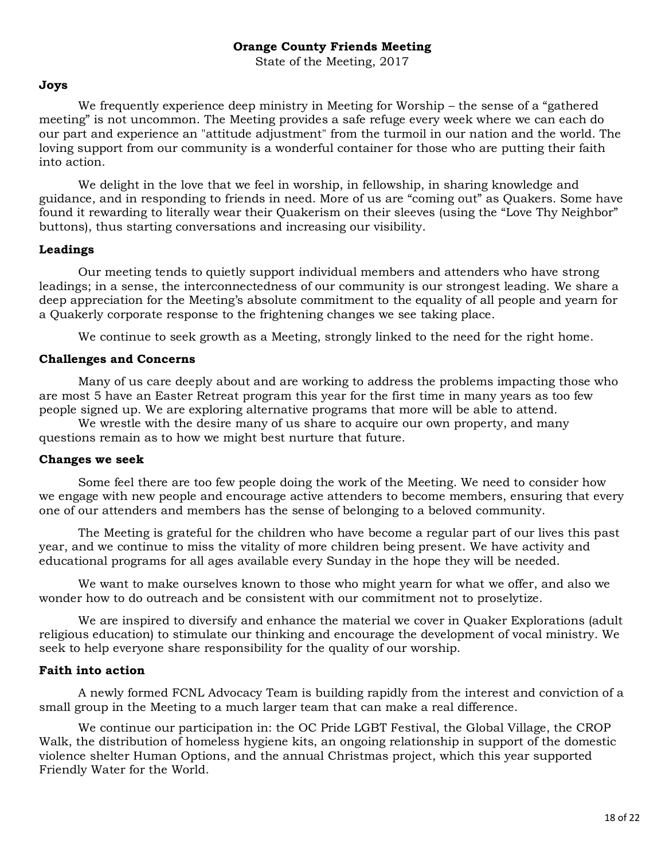### **Orange County Friends Meeting**

State of the Meeting, 2017

#### <span id="page-17-0"></span>**Joys**

We frequently experience deep ministry in Meeting for Worship – the sense of a "gathered meeting" is not uncommon. The Meeting provides a safe refuge every week where we can each do our part and experience an "attitude adjustment" from the turmoil in our nation and the world. The loving support from our community is a wonderful container for those who are putting their faith into action.

We delight in the love that we feel in worship, in fellowship, in sharing knowledge and guidance, and in responding to friends in need. More of us are "coming out" as Quakers. Some have found it rewarding to literally wear their Quakerism on their sleeves (using the "Love Thy Neighbor" buttons), thus starting conversations and increasing our visibility.

#### **Leadings**

Our meeting tends to quietly support individual members and attenders who have strong leadings; in a sense, the interconnectedness of our community is our strongest leading. We share a deep appreciation for the Meeting's absolute commitment to the equality of all people and yearn for a Quakerly corporate response to the frightening changes we see taking place.

We continue to seek growth as a Meeting, strongly linked to the need for the right home.

#### **Challenges and Concerns**

Many of us care deeply about and are working to address the problems impacting those who are most 5 have an Easter Retreat program this year for the first time in many years as too few people signed up. We are exploring alternative programs that more will be able to attend.

We wrestle with the desire many of us share to acquire our own property, and many questions remain as to how we might best nurture that future.

#### **Changes we seek**

Some feel there are too few people doing the work of the Meeting. We need to consider how we engage with new people and encourage active attenders to become members, ensuring that every one of our attenders and members has the sense of belonging to a beloved community.

The Meeting is grateful for the children who have become a regular part of our lives this past year, and we continue to miss the vitality of more children being present. We have activity and educational programs for all ages available every Sunday in the hope they will be needed.

We want to make ourselves known to those who might yearn for what we offer, and also we wonder how to do outreach and be consistent with our commitment not to proselytize.

We are inspired to diversify and enhance the material we cover in Quaker Explorations (adult religious education) to stimulate our thinking and encourage the development of vocal ministry. We seek to help everyone share responsibility for the quality of our worship.

#### **Faith into action**

A newly formed FCNL Advocacy Team is building rapidly from the interest and conviction of a small group in the Meeting to a much larger team that can make a real difference.

We continue our participation in: the OC Pride LGBT Festival, the Global Village, the CROP Walk, the distribution of homeless hygiene kits, an ongoing relationship in support of the domestic violence shelter Human Options, and the annual Christmas project, which this year supported Friendly Water for the World.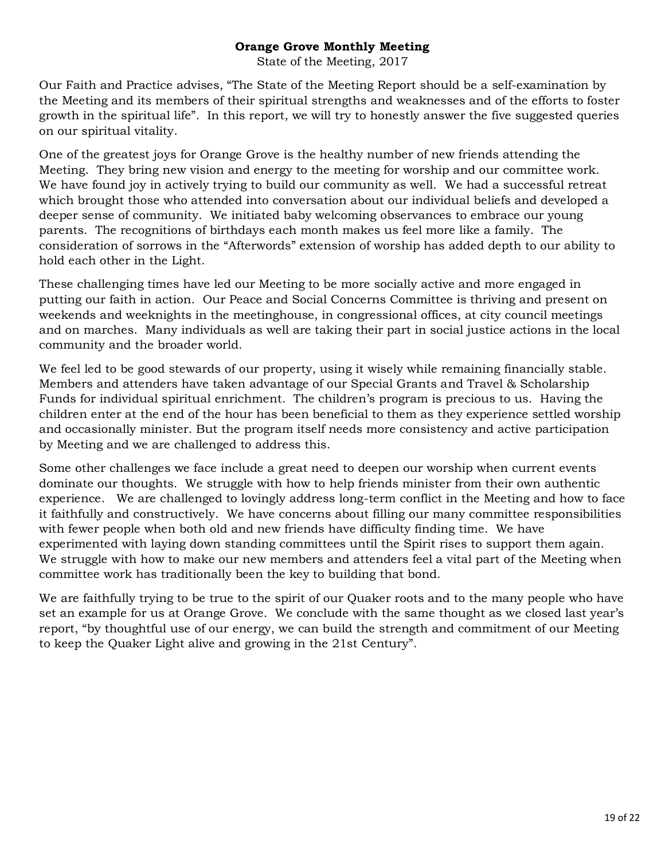## **Orange Grove Monthly Meeting**

State of the Meeting, 2017

<span id="page-18-0"></span>Our Faith and Practice advises, "The State of the Meeting Report should be a self-examination by the Meeting and its members of their spiritual strengths and weaknesses and of the efforts to foster growth in the spiritual life". In this report, we will try to honestly answer the five suggested queries on our spiritual vitality.

One of the greatest joys for Orange Grove is the healthy number of new friends attending the Meeting. They bring new vision and energy to the meeting for worship and our committee work. We have found joy in actively trying to build our community as well. We had a successful retreat which brought those who attended into conversation about our individual beliefs and developed a deeper sense of community. We initiated baby welcoming observances to embrace our young parents. The recognitions of birthdays each month makes us feel more like a family. The consideration of sorrows in the "Afterwords" extension of worship has added depth to our ability to hold each other in the Light.

These challenging times have led our Meeting to be more socially active and more engaged in putting our faith in action. Our Peace and Social Concerns Committee is thriving and present on weekends and weeknights in the meetinghouse, in congressional offices, at city council meetings and on marches. Many individuals as well are taking their part in social justice actions in the local community and the broader world.

We feel led to be good stewards of our property, using it wisely while remaining financially stable. Members and attenders have taken advantage of our Special Grants and Travel & Scholarship Funds for individual spiritual enrichment. The children's program is precious to us. Having the children enter at the end of the hour has been beneficial to them as they experience settled worship and occasionally minister. But the program itself needs more consistency and active participation by Meeting and we are challenged to address this.

Some other challenges we face include a great need to deepen our worship when current events dominate our thoughts. We struggle with how to help friends minister from their own authentic experience. We are challenged to lovingly address long-term conflict in the Meeting and how to face it faithfully and constructively. We have concerns about filling our many committee responsibilities with fewer people when both old and new friends have difficulty finding time. We have experimented with laying down standing committees until the Spirit rises to support them again. We struggle with how to make our new members and attenders feel a vital part of the Meeting when committee work has traditionally been the key to building that bond.

We are faithfully trying to be true to the spirit of our Quaker roots and to the many people who have set an example for us at Orange Grove. We conclude with the same thought as we closed last year's report, "by thoughtful use of our energy, we can build the strength and commitment of our Meeting to keep the Quaker Light alive and growing in the 21st Century".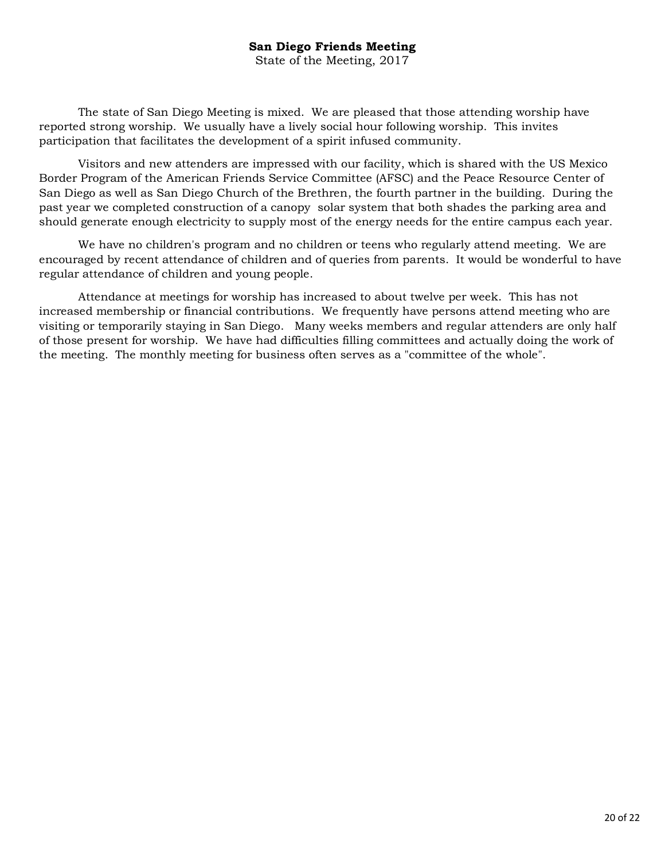## **San Diego Friends Meeting**

State of the Meeting, 2017

<span id="page-19-0"></span>The state of San Diego Meeting is mixed. We are pleased that those attending worship have reported strong worship. We usually have a lively social hour following worship. This invites participation that facilitates the development of a spirit infused community.

Visitors and new attenders are impressed with our facility, which is shared with the US Mexico Border Program of the American Friends Service Committee (AFSC) and the Peace Resource Center of San Diego as well as San Diego Church of the Brethren, the fourth partner in the building. During the past year we completed construction of a canopy solar system that both shades the parking area and should generate enough electricity to supply most of the energy needs for the entire campus each year.

We have no children's program and no children or teens who regularly attend meeting. We are encouraged by recent attendance of children and of queries from parents. It would be wonderful to have regular attendance of children and young people.

Attendance at meetings for worship has increased to about twelve per week. This has not increased membership or financial contributions. We frequently have persons attend meeting who are visiting or temporarily staying in San Diego. Many weeks members and regular attenders are only half of those present for worship. We have had difficulties filling committees and actually doing the work of the meeting. The monthly meeting for business often serves as a "committee of the whole".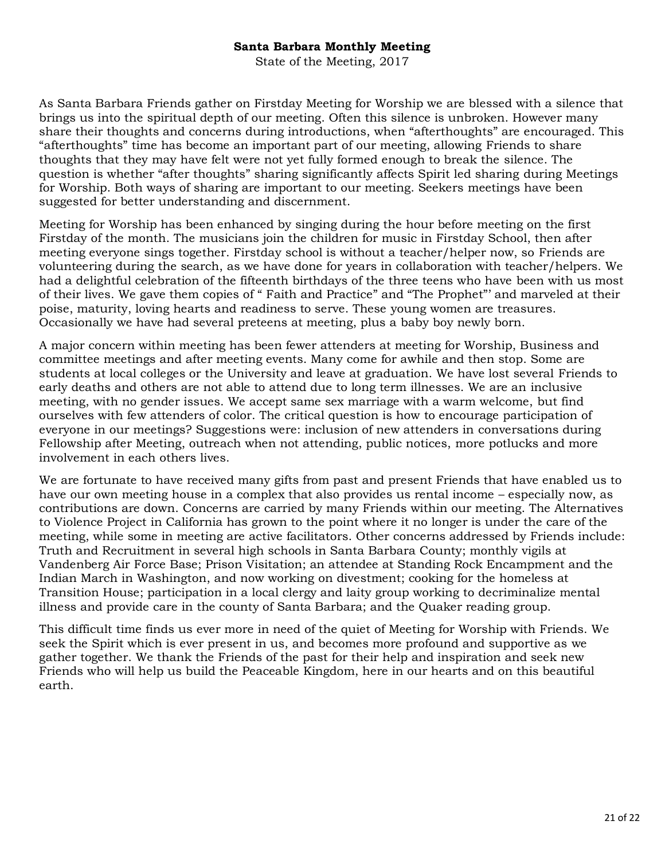## **Santa Barbara Monthly Meeting**

State of the Meeting, 2017

<span id="page-20-0"></span>As Santa Barbara Friends gather on Firstday Meeting for Worship we are blessed with a silence that brings us into the spiritual depth of our meeting. Often this silence is unbroken. However many share their thoughts and concerns during introductions, when "afterthoughts" are encouraged. This "afterthoughts" time has become an important part of our meeting, allowing Friends to share thoughts that they may have felt were not yet fully formed enough to break the silence. The question is whether "after thoughts" sharing significantly affects Spirit led sharing during Meetings for Worship. Both ways of sharing are important to our meeting. Seekers meetings have been suggested for better understanding and discernment.

Meeting for Worship has been enhanced by singing during the hour before meeting on the first Firstday of the month. The musicians join the children for music in Firstday School, then after meeting everyone sings together. Firstday school is without a teacher/helper now, so Friends are volunteering during the search, as we have done for years in collaboration with teacher/helpers. We had a delightful celebration of the fifteenth birthdays of the three teens who have been with us most of their lives. We gave them copies of " Faith and Practice" and "The Prophet"' and marveled at their poise, maturity, loving hearts and readiness to serve. These young women are treasures. Occasionally we have had several preteens at meeting, plus a baby boy newly born.

A major concern within meeting has been fewer attenders at meeting for Worship, Business and committee meetings and after meeting events. Many come for awhile and then stop. Some are students at local colleges or the University and leave at graduation. We have lost several Friends to early deaths and others are not able to attend due to long term illnesses. We are an inclusive meeting, with no gender issues. We accept same sex marriage with a warm welcome, but find ourselves with few attenders of color. The critical question is how to encourage participation of everyone in our meetings? Suggestions were: inclusion of new attenders in conversations during Fellowship after Meeting, outreach when not attending, public notices, more potlucks and more involvement in each others lives.

We are fortunate to have received many gifts from past and present Friends that have enabled us to have our own meeting house in a complex that also provides us rental income – especially now, as contributions are down. Concerns are carried by many Friends within our meeting. The Alternatives to Violence Project in California has grown to the point where it no longer is under the care of the meeting, while some in meeting are active facilitators. Other concerns addressed by Friends include: Truth and Recruitment in several high schools in Santa Barbara County; monthly vigils at Vandenberg Air Force Base; Prison Visitation; an attendee at Standing Rock Encampment and the Indian March in Washington, and now working on divestment; cooking for the homeless at Transition House; participation in a local clergy and laity group working to decriminalize mental illness and provide care in the county of Santa Barbara; and the Quaker reading group.

This difficult time finds us ever more in need of the quiet of Meeting for Worship with Friends. We seek the Spirit which is ever present in us, and becomes more profound and supportive as we gather together. We thank the Friends of the past for their help and inspiration and seek new Friends who will help us build the Peaceable Kingdom, here in our hearts and on this beautiful earth.